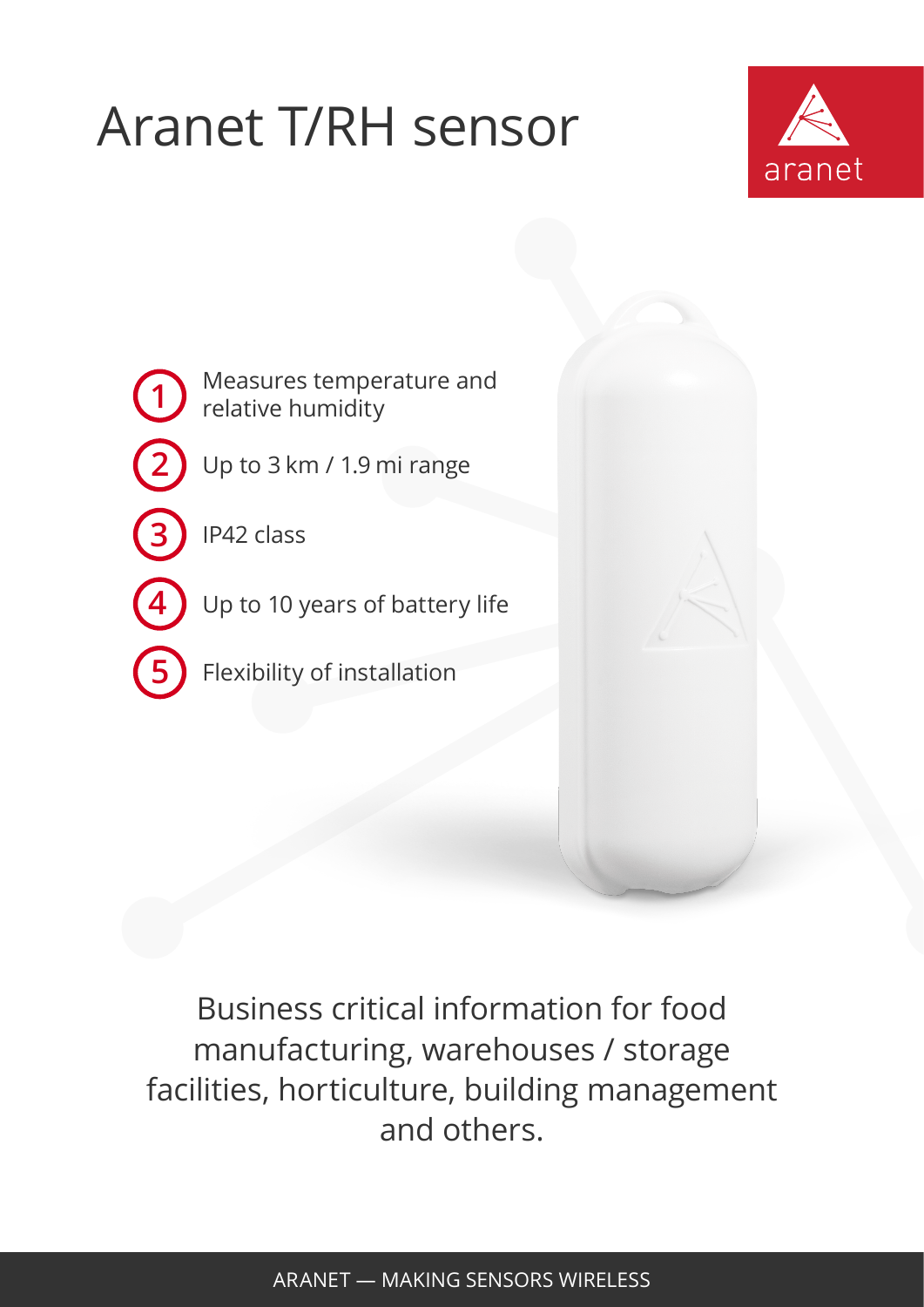## Aranet T/RH sensor





**5** Flexibility of installation



Business critical information for food manufacturing, warehouses / storage facilities, horticulture, building management and others.